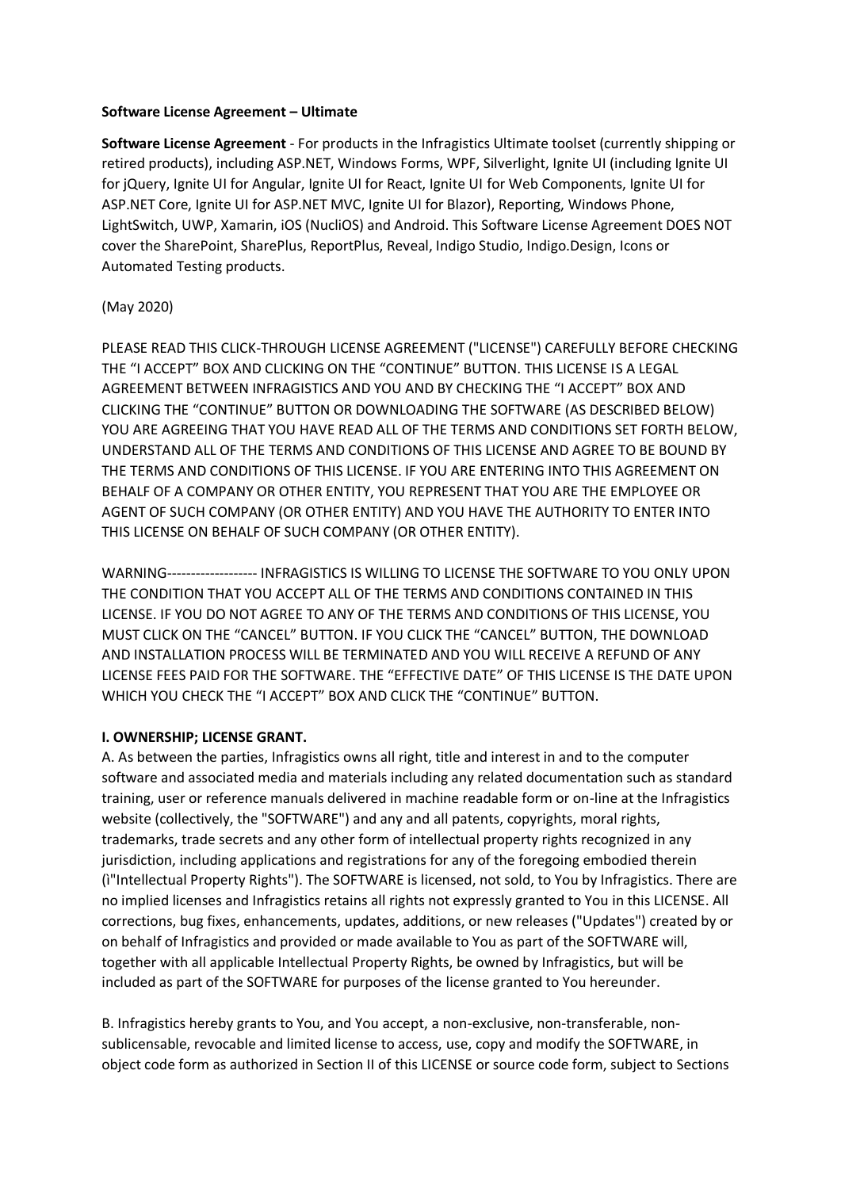#### **Software License Agreement – Ultimate**

**Software License Agreement** - For products in the Infragistics Ultimate toolset (currently shipping or retired products), including ASP.NET, Windows Forms, WPF, Silverlight, Ignite UI (including Ignite UI for jQuery, Ignite UI for Angular, Ignite UI for React, Ignite UI for Web Components, Ignite UI for ASP.NET Core, Ignite UI for ASP.NET MVC, Ignite UI for Blazor), Reporting, Windows Phone, LightSwitch, UWP, Xamarin, iOS (NucliOS) and Android. This Software License Agreement DOES NOT cover the SharePoint, SharePlus, ReportPlus, Reveal, Indigo Studio, Indigo.Design, Icons or Automated Testing products.

### (May 2020)

PLEASE READ THIS CLICK-THROUGH LICENSE AGREEMENT ("LICENSE") CAREFULLY BEFORE CHECKING THE "I ACCEPT" BOX AND CLICKING ON THE "CONTINUE" BUTTON. THIS LICENSE IS A LEGAL AGREEMENT BETWEEN INFRAGISTICS AND YOU AND BY CHECKING THE "I ACCEPT" BOX AND CLICKING THE "CONTINUE" BUTTON OR DOWNLOADING THE SOFTWARE (AS DESCRIBED BELOW) YOU ARE AGREEING THAT YOU HAVE READ ALL OF THE TERMS AND CONDITIONS SET FORTH BELOW, UNDERSTAND ALL OF THE TERMS AND CONDITIONS OF THIS LICENSE AND AGREE TO BE BOUND BY THE TERMS AND CONDITIONS OF THIS LICENSE. IF YOU ARE ENTERING INTO THIS AGREEMENT ON BEHALF OF A COMPANY OR OTHER ENTITY, YOU REPRESENT THAT YOU ARE THE EMPLOYEE OR AGENT OF SUCH COMPANY (OR OTHER ENTITY) AND YOU HAVE THE AUTHORITY TO ENTER INTO THIS LICENSE ON BEHALF OF SUCH COMPANY (OR OTHER ENTITY).

WARNING------------------- INFRAGISTICS IS WILLING TO LICENSE THE SOFTWARE TO YOU ONLY UPON THE CONDITION THAT YOU ACCEPT ALL OF THE TERMS AND CONDITIONS CONTAINED IN THIS LICENSE. IF YOU DO NOT AGREE TO ANY OF THE TERMS AND CONDITIONS OF THIS LICENSE, YOU MUST CLICK ON THE "CANCEL" BUTTON. IF YOU CLICK THE "CANCEL" BUTTON, THE DOWNLOAD AND INSTALLATION PROCESS WILL BE TERMINATED AND YOU WILL RECEIVE A REFUND OF ANY LICENSE FEES PAID FOR THE SOFTWARE. THE "EFFECTIVE DATE" OF THIS LICENSE IS THE DATE UPON WHICH YOU CHECK THE "I ACCEPT" BOX AND CLICK THE "CONTINUE" BUTTON.

### **I. OWNERSHIP; LICENSE GRANT.**

A. As between the parties, Infragistics owns all right, title and interest in and to the computer software and associated media and materials including any related documentation such as standard training, user or reference manuals delivered in machine readable form or on-line at the Infragistics website (collectively, the "SOFTWARE") and any and all patents, copyrights, moral rights, trademarks, trade secrets and any other form of intellectual property rights recognized in any jurisdiction, including applications and registrations for any of the foregoing embodied therein (ì"Intellectual Property Rights"). The SOFTWARE is licensed, not sold, to You by Infragistics. There are no implied licenses and Infragistics retains all rights not expressly granted to You in this LICENSE. All corrections, bug fixes, enhancements, updates, additions, or new releases ("Updates") created by or on behalf of Infragistics and provided or made available to You as part of the SOFTWARE will, together with all applicable Intellectual Property Rights, be owned by Infragistics, but will be included as part of the SOFTWARE for purposes of the license granted to You hereunder.

B. Infragistics hereby grants to You, and You accept, a non-exclusive, non-transferable, nonsublicensable, revocable and limited license to access, use, copy and modify the SOFTWARE, in object code form as authorized in Section II of this LICENSE or source code form, subject to Sections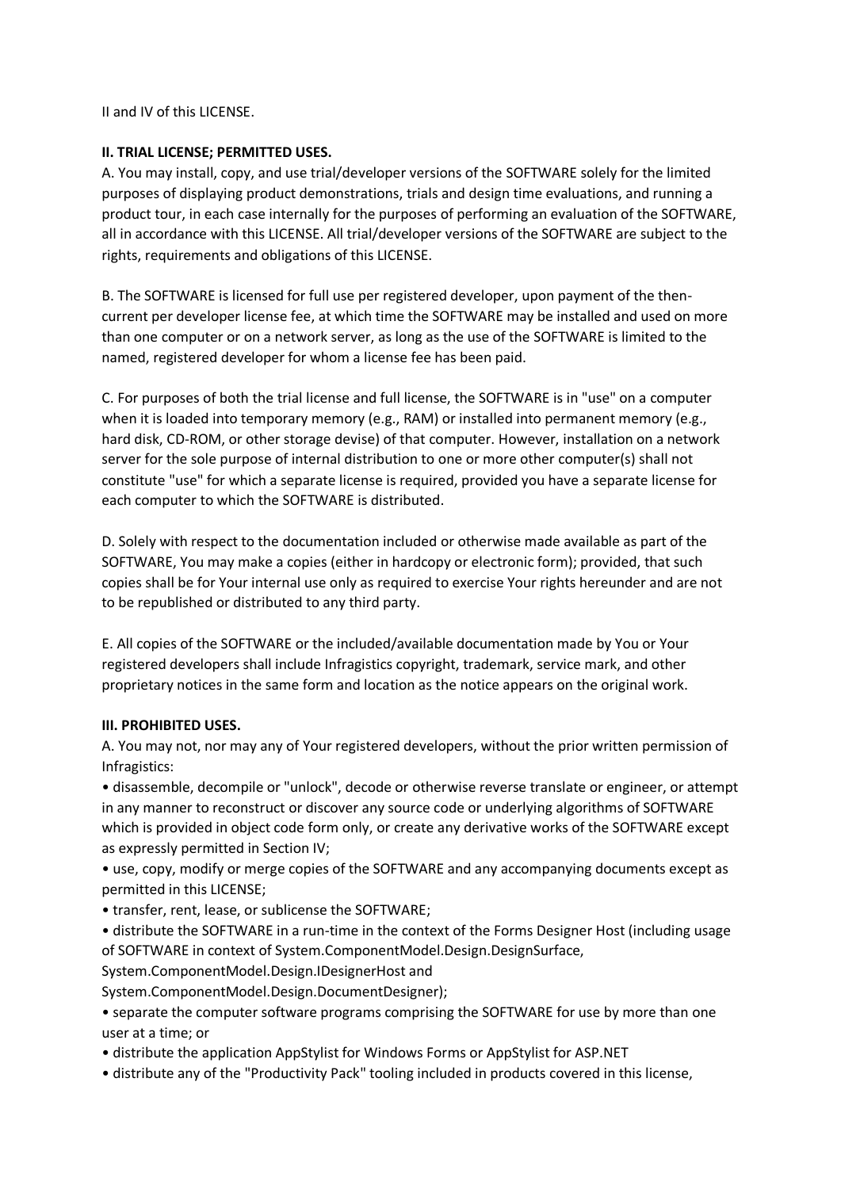II and IV of this LICENSE.

## **II. TRIAL LICENSE; PERMITTED USES.**

A. You may install, copy, and use trial/developer versions of the SOFTWARE solely for the limited purposes of displaying product demonstrations, trials and design time evaluations, and running a product tour, in each case internally for the purposes of performing an evaluation of the SOFTWARE, all in accordance with this LICENSE. All trial/developer versions of the SOFTWARE are subject to the rights, requirements and obligations of this LICENSE.

B. The SOFTWARE is licensed for full use per registered developer, upon payment of the thencurrent per developer license fee, at which time the SOFTWARE may be installed and used on more than one computer or on a network server, as long as the use of the SOFTWARE is limited to the named, registered developer for whom a license fee has been paid.

C. For purposes of both the trial license and full license, the SOFTWARE is in "use" on a computer when it is loaded into temporary memory (e.g., RAM) or installed into permanent memory (e.g., hard disk, CD-ROM, or other storage devise) of that computer. However, installation on a network server for the sole purpose of internal distribution to one or more other computer(s) shall not constitute "use" for which a separate license is required, provided you have a separate license for each computer to which the SOFTWARE is distributed.

D. Solely with respect to the documentation included or otherwise made available as part of the SOFTWARE, You may make a copies (either in hardcopy or electronic form); provided, that such copies shall be for Your internal use only as required to exercise Your rights hereunder and are not to be republished or distributed to any third party.

E. All copies of the SOFTWARE or the included/available documentation made by You or Your registered developers shall include Infragistics copyright, trademark, service mark, and other proprietary notices in the same form and location as the notice appears on the original work.

# **III. PROHIBITED USES.**

A. You may not, nor may any of Your registered developers, without the prior written permission of Infragistics:

• disassemble, decompile or "unlock", decode or otherwise reverse translate or engineer, or attempt in any manner to reconstruct or discover any source code or underlying algorithms of SOFTWARE which is provided in object code form only, or create any derivative works of the SOFTWARE except as expressly permitted in Section IV;

• use, copy, modify or merge copies of the SOFTWARE and any accompanying documents except as permitted in this LICENSE;

• transfer, rent, lease, or sublicense the SOFTWARE;

• distribute the SOFTWARE in a run-time in the context of the Forms Designer Host (including usage of SOFTWARE in context of System.ComponentModel.Design.DesignSurface,

System.ComponentModel.Design.IDesignerHost and

System.ComponentModel.Design.DocumentDesigner);

• separate the computer software programs comprising the SOFTWARE for use by more than one user at a time; or

• distribute the application AppStylist for Windows Forms or AppStylist for ASP.NET

• distribute any of the "Productivity Pack" tooling included in products covered in this license,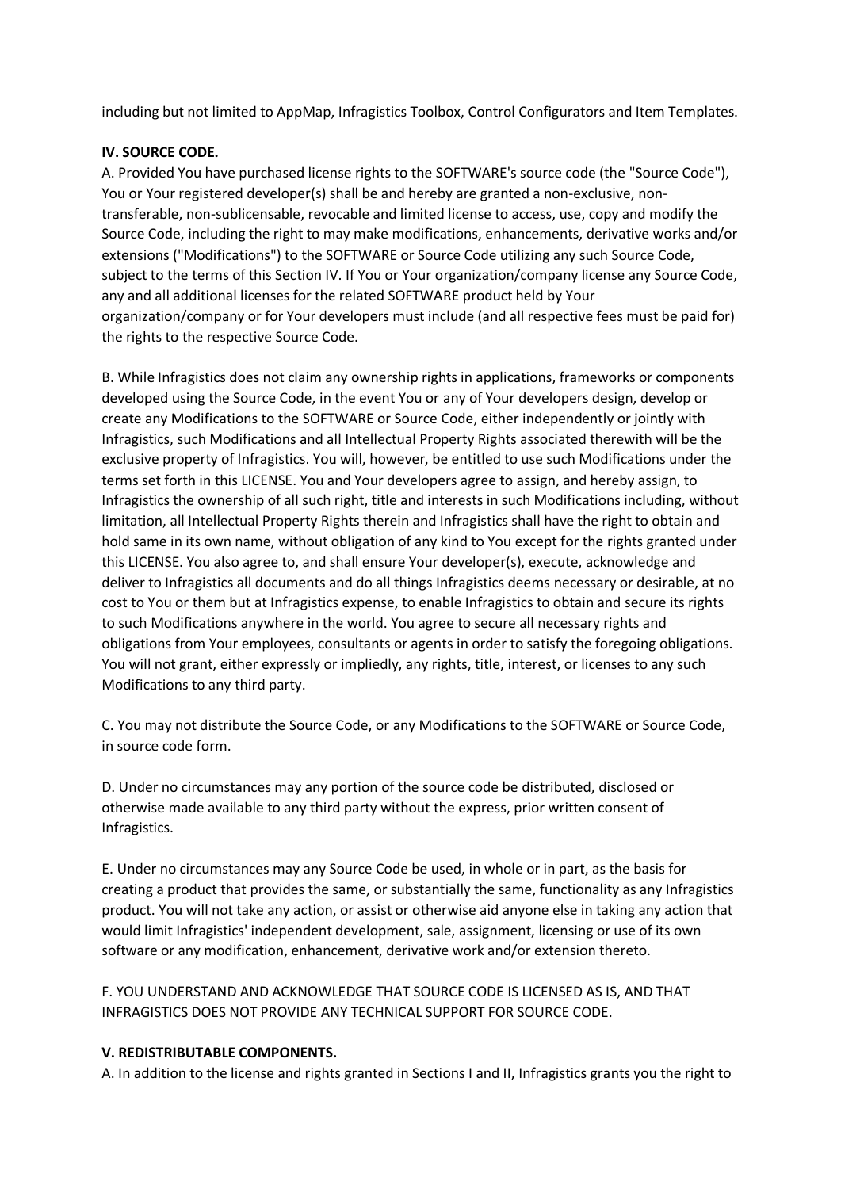including but not limited to AppMap, Infragistics Toolbox, Control Configurators and Item Templates.

## **IV. SOURCE CODE.**

A. Provided You have purchased license rights to the SOFTWARE's source code (the "Source Code"), You or Your registered developer(s) shall be and hereby are granted a non-exclusive, nontransferable, non-sublicensable, revocable and limited license to access, use, copy and modify the Source Code, including the right to may make modifications, enhancements, derivative works and/or extensions ("Modifications") to the SOFTWARE or Source Code utilizing any such Source Code, subject to the terms of this Section IV. If You or Your organization/company license any Source Code, any and all additional licenses for the related SOFTWARE product held by Your organization/company or for Your developers must include (and all respective fees must be paid for) the rights to the respective Source Code.

B. While Infragistics does not claim any ownership rights in applications, frameworks or components developed using the Source Code, in the event You or any of Your developers design, develop or create any Modifications to the SOFTWARE or Source Code, either independently or jointly with Infragistics, such Modifications and all Intellectual Property Rights associated therewith will be the exclusive property of Infragistics. You will, however, be entitled to use such Modifications under the terms set forth in this LICENSE. You and Your developers agree to assign, and hereby assign, to Infragistics the ownership of all such right, title and interests in such Modifications including, without limitation, all Intellectual Property Rights therein and Infragistics shall have the right to obtain and hold same in its own name, without obligation of any kind to You except for the rights granted under this LICENSE. You also agree to, and shall ensure Your developer(s), execute, acknowledge and deliver to Infragistics all documents and do all things Infragistics deems necessary or desirable, at no cost to You or them but at Infragistics expense, to enable Infragistics to obtain and secure its rights to such Modifications anywhere in the world. You agree to secure all necessary rights and obligations from Your employees, consultants or agents in order to satisfy the foregoing obligations. You will not grant, either expressly or impliedly, any rights, title, interest, or licenses to any such Modifications to any third party.

C. You may not distribute the Source Code, or any Modifications to the SOFTWARE or Source Code, in source code form.

D. Under no circumstances may any portion of the source code be distributed, disclosed or otherwise made available to any third party without the express, prior written consent of Infragistics.

E. Under no circumstances may any Source Code be used, in whole or in part, as the basis for creating a product that provides the same, or substantially the same, functionality as any Infragistics product. You will not take any action, or assist or otherwise aid anyone else in taking any action that would limit Infragistics' independent development, sale, assignment, licensing or use of its own software or any modification, enhancement, derivative work and/or extension thereto.

F. YOU UNDERSTAND AND ACKNOWLEDGE THAT SOURCE CODE IS LICENSED AS IS, AND THAT INFRAGISTICS DOES NOT PROVIDE ANY TECHNICAL SUPPORT FOR SOURCE CODE.

### **V. REDISTRIBUTABLE COMPONENTS.**

A. In addition to the license and rights granted in Sections I and II, Infragistics grants you the right to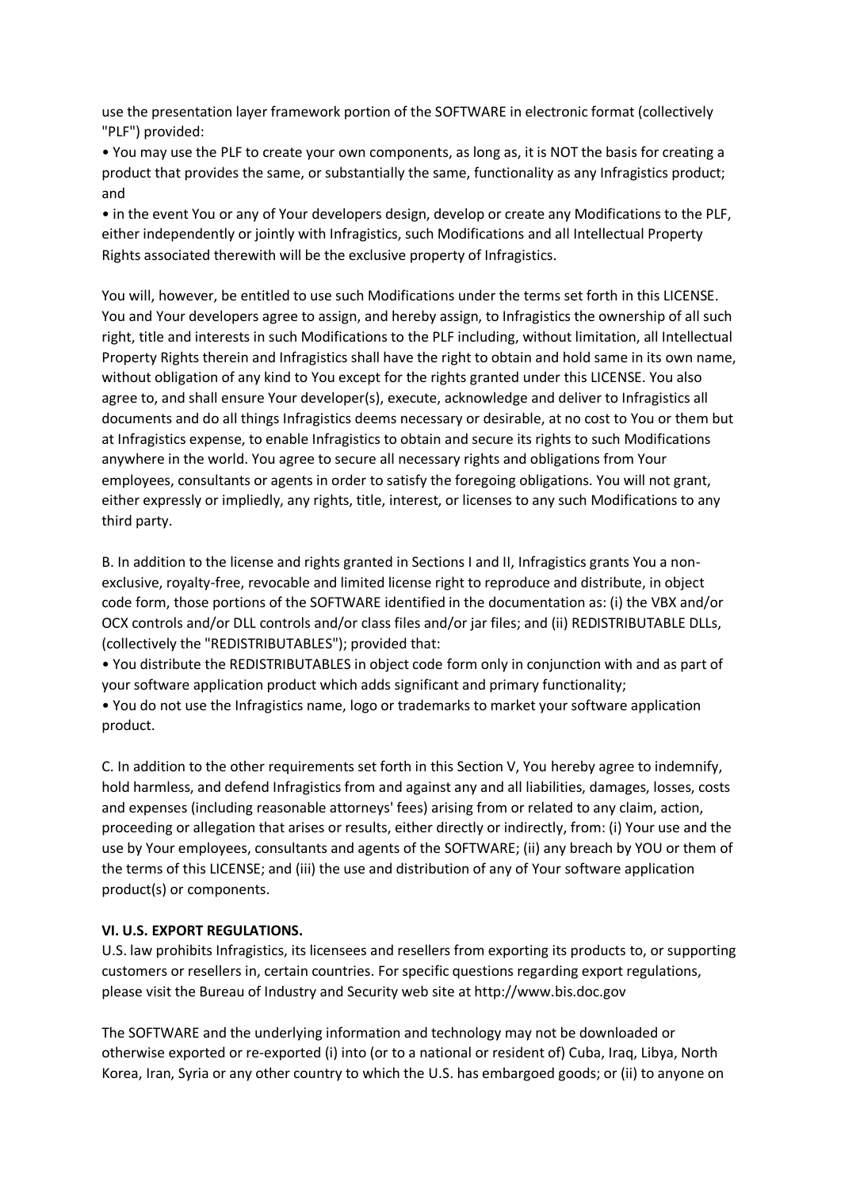use the presentation layer framework portion of the SOFTWARE in electronic format (collectively "PLF") provided:

• You may use the PLF to create your own components, as long as, it is NOT the basis for creating a product that provides the same, or substantially the same, functionality as any Infragistics product; and

• in the event You or any of Your developers design, develop or create any Modifications to the PLF, either independently or jointly with Infragistics, such Modifications and all Intellectual Property Rights associated therewith will be the exclusive property of Infragistics.

You will, however, be entitled to use such Modifications under the terms set forth in this LICENSE. You and Your developers agree to assign, and hereby assign, to Infragistics the ownership of all such right, title and interests in such Modifications to the PLF including, without limitation, all Intellectual Property Rights therein and Infragistics shall have the right to obtain and hold same in its own name, without obligation of any kind to You except for the rights granted under this LICENSE. You also agree to, and shall ensure Your developer(s), execute, acknowledge and deliver to Infragistics all documents and do all things Infragistics deems necessary or desirable, at no cost to You or them but at Infragistics expense, to enable Infragistics to obtain and secure its rights to such Modifications anywhere in the world. You agree to secure all necessary rights and obligations from Your employees, consultants or agents in order to satisfy the foregoing obligations. You will not grant, either expressly or impliedly, any rights, title, interest, or licenses to any such Modifications to any third party.

B. In addition to the license and rights granted in Sections I and II, Infragistics grants You a nonexclusive, royalty-free, revocable and limited license right to reproduce and distribute, in object code form, those portions of the SOFTWARE identified in the documentation as: (i) the VBX and/or OCX controls and/or DLL controls and/or class files and/or jar files; and (ii) REDISTRIBUTABLE DLLs, (collectively the "REDISTRIBUTABLES"); provided that:

• You distribute the REDISTRIBUTABLES in object code form only in conjunction with and as part of your software application product which adds significant and primary functionality;

• You do not use the Infragistics name, logo or trademarks to market your software application product.

C. In addition to the other requirements set forth in this Section V, You hereby agree to indemnify, hold harmless, and defend Infragistics from and against any and all liabilities, damages, losses, costs and expenses (including reasonable attorneys' fees) arising from or related to any claim, action, proceeding or allegation that arises or results, either directly or indirectly, from: (i) Your use and the use by Your employees, consultants and agents of the SOFTWARE; (ii) any breach by YOU or them of the terms of this LICENSE; and (iii) the use and distribution of any of Your software application product(s) or components.

### **VI. U.S. EXPORT REGULATIONS.**

U.S. law prohibits Infragistics, its licensees and resellers from exporting its products to, or supporting customers or resellers in, certain countries. For specific questions regarding export regulations, please visit the Bureau of Industry and Security web site at http://www.bis.doc.gov

The SOFTWARE and the underlying information and technology may not be downloaded or otherwise exported or re-exported (i) into (or to a national or resident of) Cuba, Iraq, Libya, North Korea, Iran, Syria or any other country to which the U.S. has embargoed goods; or (ii) to anyone on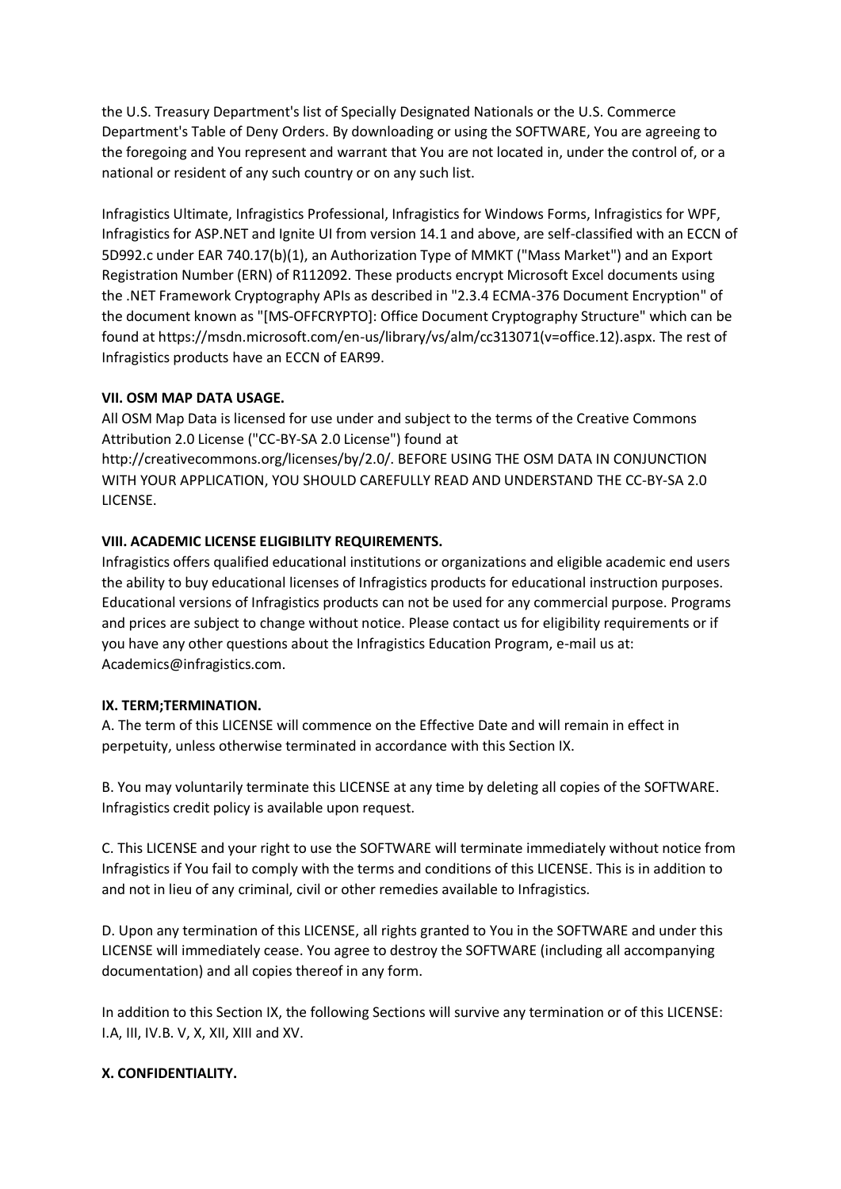the U.S. Treasury Department's list of Specially Designated Nationals or the U.S. Commerce Department's Table of Deny Orders. By downloading or using the SOFTWARE, You are agreeing to the foregoing and You represent and warrant that You are not located in, under the control of, or a national or resident of any such country or on any such list.

Infragistics Ultimate, Infragistics Professional, Infragistics for Windows Forms, Infragistics for WPF, Infragistics for ASP.NET and Ignite UI from version 14.1 and above, are self-classified with an ECCN of 5D992.c under EAR 740.17(b)(1), an Authorization Type of MMKT ("Mass Market") and an Export Registration Number (ERN) of R112092. These products encrypt Microsoft Excel documents using the .NET Framework Cryptography APIs as described in "2.3.4 ECMA-376 Document Encryption" of the document known as "[MS-OFFCRYPTO]: Office Document Cryptography Structure" which can be found at https://msdn.microsoft.com/en-us/library/vs/alm/cc313071(v=office.12).aspx. The rest of Infragistics products have an ECCN of EAR99.

### **VII. OSM MAP DATA USAGE.**

All OSM Map Data is licensed for use under and subject to the terms of the Creative Commons Attribution 2.0 License ("CC-BY-SA 2.0 License") found at

http://creativecommons.org/licenses/by/2.0/. BEFORE USING THE OSM DATA IN CONJUNCTION WITH YOUR APPLICATION, YOU SHOULD CAREFULLY READ AND UNDERSTAND THE CC-BY-SA 2.0 LICENSE.

### **VIII. ACADEMIC LICENSE ELIGIBILITY REQUIREMENTS.**

Infragistics offers qualified educational institutions or organizations and eligible academic end users the ability to buy educational licenses of Infragistics products for educational instruction purposes. Educational versions of Infragistics products can not be used for any commercial purpose. Programs and prices are subject to change without notice. Please contact us for eligibility requirements or if you have any other questions about the Infragistics Education Program, e-mail us at: Academics@infragistics.com.

### **IX. TERM;TERMINATION.**

A. The term of this LICENSE will commence on the Effective Date and will remain in effect in perpetuity, unless otherwise terminated in accordance with this Section IX.

B. You may voluntarily terminate this LICENSE at any time by deleting all copies of the SOFTWARE. Infragistics credit policy is available upon request.

C. This LICENSE and your right to use the SOFTWARE will terminate immediately without notice from Infragistics if You fail to comply with the terms and conditions of this LICENSE. This is in addition to and not in lieu of any criminal, civil or other remedies available to Infragistics.

D. Upon any termination of this LICENSE, all rights granted to You in the SOFTWARE and under this LICENSE will immediately cease. You agree to destroy the SOFTWARE (including all accompanying documentation) and all copies thereof in any form.

In addition to this Section IX, the following Sections will survive any termination or of this LICENSE: I.A, III, IV.B. V, X, XII, XIII and XV.

# **X. CONFIDENTIALITY.**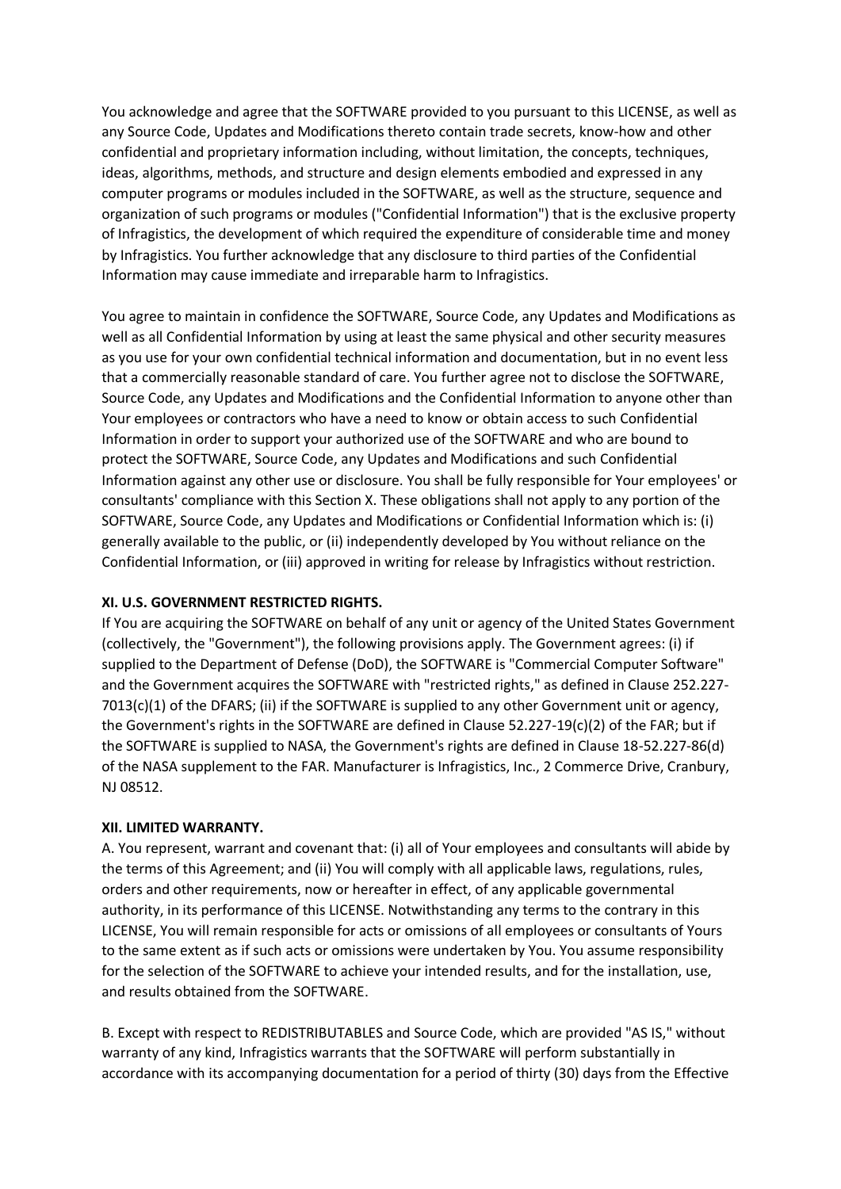You acknowledge and agree that the SOFTWARE provided to you pursuant to this LICENSE, as well as any Source Code, Updates and Modifications thereto contain trade secrets, know-how and other confidential and proprietary information including, without limitation, the concepts, techniques, ideas, algorithms, methods, and structure and design elements embodied and expressed in any computer programs or modules included in the SOFTWARE, as well as the structure, sequence and organization of such programs or modules ("Confidential Information") that is the exclusive property of Infragistics, the development of which required the expenditure of considerable time and money by Infragistics. You further acknowledge that any disclosure to third parties of the Confidential Information may cause immediate and irreparable harm to Infragistics.

You agree to maintain in confidence the SOFTWARE, Source Code, any Updates and Modifications as well as all Confidential Information by using at least the same physical and other security measures as you use for your own confidential technical information and documentation, but in no event less that a commercially reasonable standard of care. You further agree not to disclose the SOFTWARE, Source Code, any Updates and Modifications and the Confidential Information to anyone other than Your employees or contractors who have a need to know or obtain access to such Confidential Information in order to support your authorized use of the SOFTWARE and who are bound to protect the SOFTWARE, Source Code, any Updates and Modifications and such Confidential Information against any other use or disclosure. You shall be fully responsible for Your employees' or consultants' compliance with this Section X. These obligations shall not apply to any portion of the SOFTWARE, Source Code, any Updates and Modifications or Confidential Information which is: (i) generally available to the public, or (ii) independently developed by You without reliance on the Confidential Information, or (iii) approved in writing for release by Infragistics without restriction.

# **XI. U.S. GOVERNMENT RESTRICTED RIGHTS.**

If You are acquiring the SOFTWARE on behalf of any unit or agency of the United States Government (collectively, the "Government"), the following provisions apply. The Government agrees: (i) if supplied to the Department of Defense (DoD), the SOFTWARE is "Commercial Computer Software" and the Government acquires the SOFTWARE with "restricted rights," as defined in Clause 252.227- 7013(c)(1) of the DFARS; (ii) if the SOFTWARE is supplied to any other Government unit or agency, the Government's rights in the SOFTWARE are defined in Clause 52.227-19(c)(2) of the FAR; but if the SOFTWARE is supplied to NASA, the Government's rights are defined in Clause 18-52.227-86(d) of the NASA supplement to the FAR. Manufacturer is Infragistics, Inc., 2 Commerce Drive, Cranbury, NJ 08512.

# **XII. LIMITED WARRANTY.**

A. You represent, warrant and covenant that: (i) all of Your employees and consultants will abide by the terms of this Agreement; and (ii) You will comply with all applicable laws, regulations, rules, orders and other requirements, now or hereafter in effect, of any applicable governmental authority, in its performance of this LICENSE. Notwithstanding any terms to the contrary in this LICENSE, You will remain responsible for acts or omissions of all employees or consultants of Yours to the same extent as if such acts or omissions were undertaken by You. You assume responsibility for the selection of the SOFTWARE to achieve your intended results, and for the installation, use, and results obtained from the SOFTWARE.

B. Except with respect to REDISTRIBUTABLES and Source Code, which are provided "AS IS," without warranty of any kind, Infragistics warrants that the SOFTWARE will perform substantially in accordance with its accompanying documentation for a period of thirty (30) days from the Effective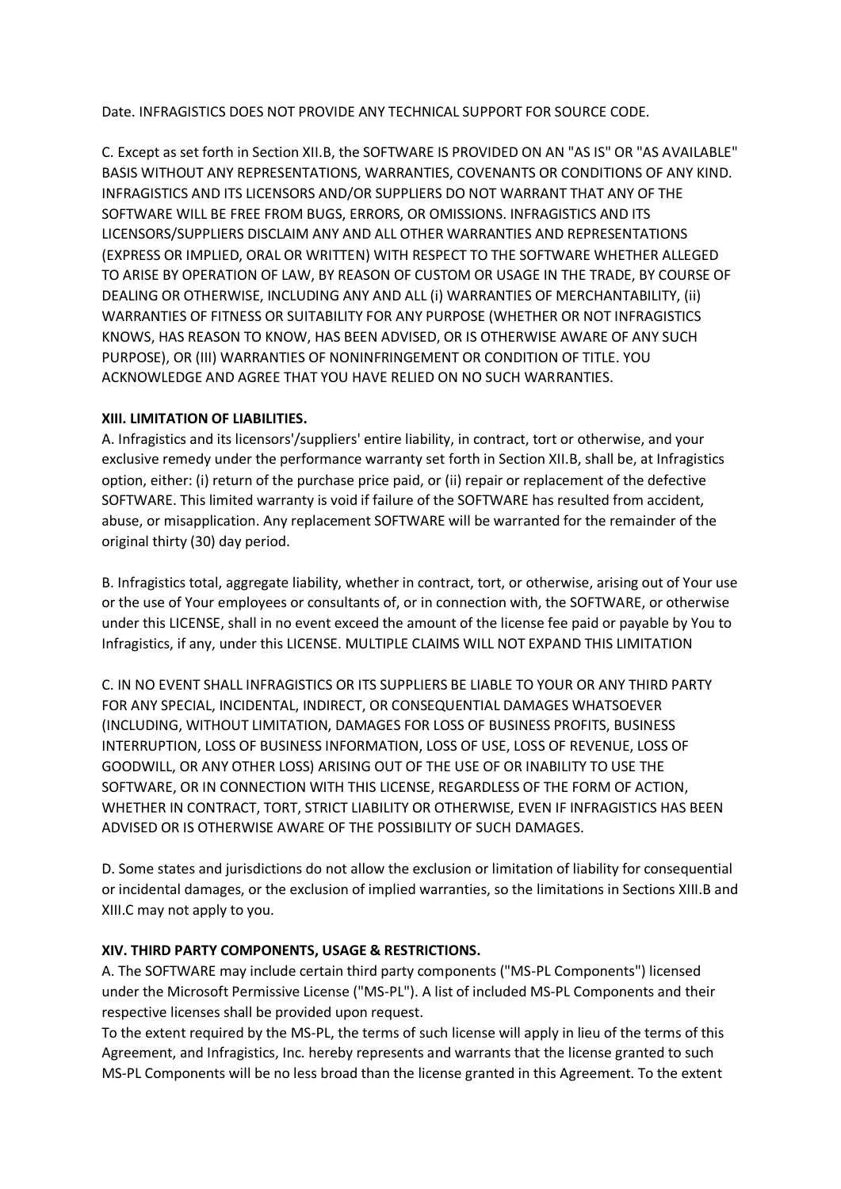Date. INFRAGISTICS DOES NOT PROVIDE ANY TECHNICAL SUPPORT FOR SOURCE CODE.

C. Except as set forth in Section XII.B, the SOFTWARE IS PROVIDED ON AN "AS IS" OR "AS AVAILABLE" BASIS WITHOUT ANY REPRESENTATIONS, WARRANTIES, COVENANTS OR CONDITIONS OF ANY KIND. INFRAGISTICS AND ITS LICENSORS AND/OR SUPPLIERS DO NOT WARRANT THAT ANY OF THE SOFTWARE WILL BE FREE FROM BUGS, ERRORS, OR OMISSIONS. INFRAGISTICS AND ITS LICENSORS/SUPPLIERS DISCLAIM ANY AND ALL OTHER WARRANTIES AND REPRESENTATIONS (EXPRESS OR IMPLIED, ORAL OR WRITTEN) WITH RESPECT TO THE SOFTWARE WHETHER ALLEGED TO ARISE BY OPERATION OF LAW, BY REASON OF CUSTOM OR USAGE IN THE TRADE, BY COURSE OF DEALING OR OTHERWISE, INCLUDING ANY AND ALL (i) WARRANTIES OF MERCHANTABILITY, (ii) WARRANTIES OF FITNESS OR SUITABILITY FOR ANY PURPOSE (WHETHER OR NOT INFRAGISTICS KNOWS, HAS REASON TO KNOW, HAS BEEN ADVISED, OR IS OTHERWISE AWARE OF ANY SUCH PURPOSE), OR (III) WARRANTIES OF NONINFRINGEMENT OR CONDITION OF TITLE. YOU ACKNOWLEDGE AND AGREE THAT YOU HAVE RELIED ON NO SUCH WARRANTIES.

### **XIII. LIMITATION OF LIABILITIES.**

A. Infragistics and its licensors'/suppliers' entire liability, in contract, tort or otherwise, and your exclusive remedy under the performance warranty set forth in Section XII.B, shall be, at Infragistics option, either: (i) return of the purchase price paid, or (ii) repair or replacement of the defective SOFTWARE. This limited warranty is void if failure of the SOFTWARE has resulted from accident, abuse, or misapplication. Any replacement SOFTWARE will be warranted for the remainder of the original thirty (30) day period.

B. Infragistics total, aggregate liability, whether in contract, tort, or otherwise, arising out of Your use or the use of Your employees or consultants of, or in connection with, the SOFTWARE, or otherwise under this LICENSE, shall in no event exceed the amount of the license fee paid or payable by You to Infragistics, if any, under this LICENSE. MULTIPLE CLAIMS WILL NOT EXPAND THIS LIMITATION

C. IN NO EVENT SHALL INFRAGISTICS OR ITS SUPPLIERS BE LIABLE TO YOUR OR ANY THIRD PARTY FOR ANY SPECIAL, INCIDENTAL, INDIRECT, OR CONSEQUENTIAL DAMAGES WHATSOEVER (INCLUDING, WITHOUT LIMITATION, DAMAGES FOR LOSS OF BUSINESS PROFITS, BUSINESS INTERRUPTION, LOSS OF BUSINESS INFORMATION, LOSS OF USE, LOSS OF REVENUE, LOSS OF GOODWILL, OR ANY OTHER LOSS) ARISING OUT OF THE USE OF OR INABILITY TO USE THE SOFTWARE, OR IN CONNECTION WITH THIS LICENSE, REGARDLESS OF THE FORM OF ACTION, WHETHER IN CONTRACT, TORT, STRICT LIABILITY OR OTHERWISE, EVEN IF INFRAGISTICS HAS BEEN ADVISED OR IS OTHERWISE AWARE OF THE POSSIBILITY OF SUCH DAMAGES.

D. Some states and jurisdictions do not allow the exclusion or limitation of liability for consequential or incidental damages, or the exclusion of implied warranties, so the limitations in Sections XIII.B and XIII.C may not apply to you.

# **XIV. THIRD PARTY COMPONENTS, USAGE & RESTRICTIONS.**

A. The SOFTWARE may include certain third party components ("MS-PL Components") licensed under the Microsoft Permissive License ("MS-PL"). A list of included MS-PL Components and their respective licenses shall be provided upon request.

To the extent required by the MS-PL, the terms of such license will apply in lieu of the terms of this Agreement, and Infragistics, Inc. hereby represents and warrants that the license granted to such MS-PL Components will be no less broad than the license granted in this Agreement. To the extent